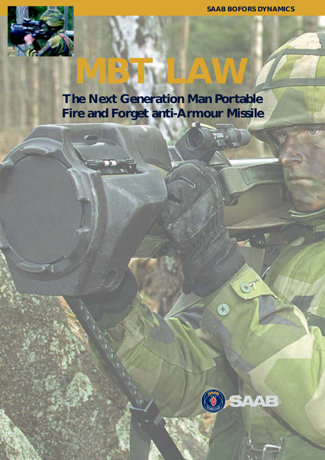

m

# **The Next Generation Man Portable Fire and Forget anti-Armour Missile**

**BT LAW** 



 $\circ$ 

 $\mathfrak{D}$